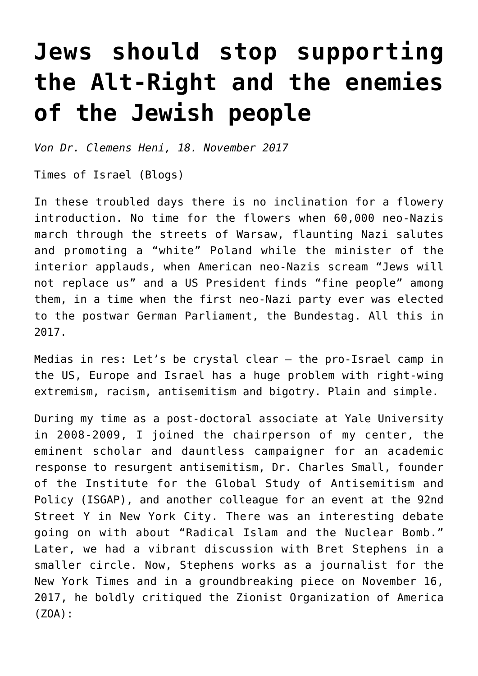## **[Jews should stop supporting](https://www.clemensheni.net/jews-should-stop-supporting-the-alt-right-and-the-enemies-of-the-jewish-people/) [the Alt-Right and the enemies](https://www.clemensheni.net/jews-should-stop-supporting-the-alt-right-and-the-enemies-of-the-jewish-people/) [of the Jewish people](https://www.clemensheni.net/jews-should-stop-supporting-the-alt-right-and-the-enemies-of-the-jewish-people/)**

*Von Dr. Clemens Heni, 18. November 2017*

[Times of Israel \(Blogs\)](http://blogs.timesofisrael.com/jews-should-stop-supporting-the-alt-right-and-the-enemies-of-the-jewish-people/)

In these troubled days there is no inclination for a flowery introduction. No time for the flowers when 60,000 neo-Nazis march through the streets of Warsaw, flaunting Nazi salutes and promoting a "white" Poland while the minister of the interior applauds, when American neo-Nazis scream "Jews will not replace us" and a US President finds "fine people" among them, in a time when the first neo-Nazi party ever was elected to the postwar German Parliament, the Bundestag. All this in 2017.

Medias in res: Let's be crystal clear – the pro-Israel camp in the US, Europe and Israel has a huge problem with right-wing extremism, racism, antisemitism and bigotry. Plain and simple.

During my time as a post-doctoral associate at Yale University in 2008-2009, I joined the chairperson of my center, the eminent scholar and dauntless campaigner for an academic response to resurgent antisemitism, Dr. Charles Small, founder of the Institute for the Global Study of Antisemitism and Policy (ISGAP), and another colleague for an event at the 92nd Street Y in New York City. There was an interesting debate going on with about "[Radical Islam and the Nuclear Bomb.](http://92yondemand.org/radical-islam-and-the-nuclear-bomb-with-dr-charles-small-and-bret-stephens)" Later, we had a vibrant discussion with Bret Stephens in a smaller circle. Now, Stephens works as a journalist for the New York Times and in a groundbreaking piece on November 16, 2017, he [boldly critiqued the Zionist Organization of America](https://www.nytimes.com/2017/11/16/opinion/steve-bannon-israel-anti-semitism.html) [\(ZOA\)](https://www.nytimes.com/2017/11/16/opinion/steve-bannon-israel-anti-semitism.html):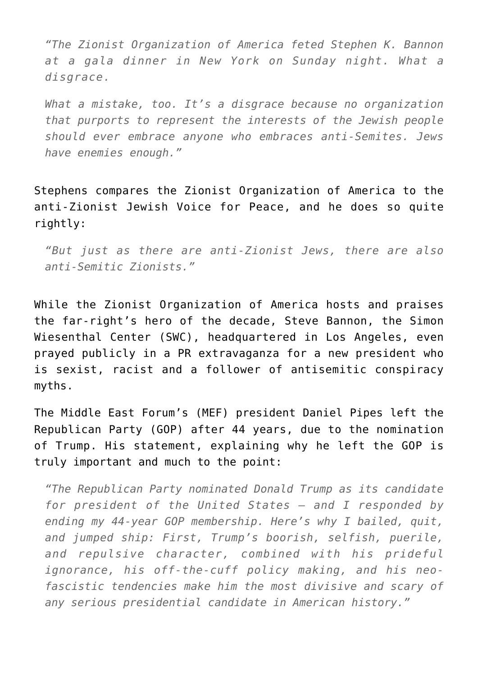*"The Zionist Organization of America feted Stephen K. Bannon at a gala dinner in New York on Sunday night. What a disgrace.*

*What a mistake, too. It's a disgrace because no organization that purports to represent the interests of the Jewish people should ever embrace anyone who embraces anti-Semites. Jews have enemies enough."*

Stephens compares the Zionist Organization of America to the anti-Zionist Jewish Voice for Peace, and he does so quite rightly:

*"But just as there are anti-Zionist Jews, there are also anti-Semitic Zionists."*

While the Zionist Organization of America hosts and praises the far-right's hero of the decade, Steve Bannon, the Simon Wiesenthal Center (SWC), headquartered in Los Angeles, even prayed publicly in a PR extravaganza for a new president who is sexist, racist and a follower of antisemitic conspiracy myths.

The Middle East Forum's (MEF) president Daniel Pipes left the Republican Party (GOP) after 44 years, due to the nomination of Trump. [His statement, explaining why he left the GOP is](http://www.philly.com/philly/news/politics/20160722_Daniel_Pipes__With_Trump_as_nominee__time_to_quit_the_GOP.html) [truly important and much to the point:](http://www.philly.com/philly/news/politics/20160722_Daniel_Pipes__With_Trump_as_nominee__time_to_quit_the_GOP.html)

*"The Republican Party nominated Donald Trump as its candidate for president of the United States – and I responded by ending my 44-year GOP membership. Here's why I bailed, quit, and jumped ship: First, Trump's boorish, selfish, puerile, and repulsive character, combined with his prideful ignorance, his off-the-cuff policy making, and his neofascistic tendencies make him the most divisive and scary of any serious presidential candidate in American history."*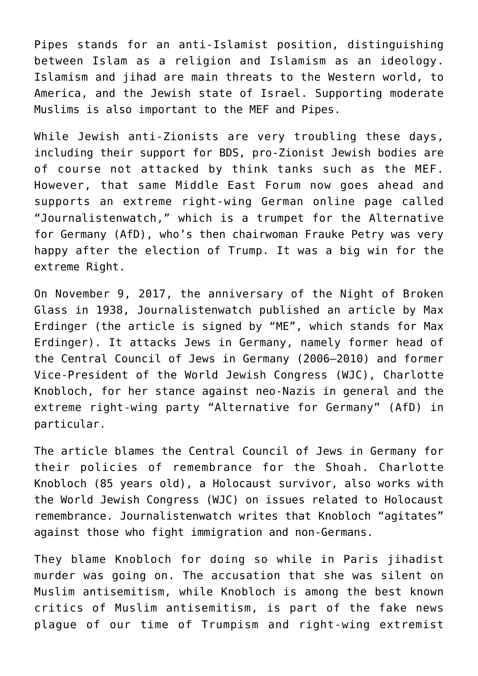Pipes stands for an anti-Islamist position, distinguishing between Islam as a religion and Islamism as an ideology. Islamism and jihad are main threats to the Western world, to America, and the Jewish state of Israel. Supporting moderate Muslims is also important to the MEF and Pipes.

While Jewish anti-Zionists are very troubling these days, including their support for BDS, pro-Zionist Jewish bodies are of course not attacked by think tanks such as the MEF. However, that same Middle East Forum now goes ahead and supports an extreme right-wing German online page called "Journalistenwatch," which is a trumpet for the Alternative for Germany (AfD), who's then chairwoman Frauke Petry was very happy after the election of Trump. It was a big win for the extreme Right.

[On November 9, 2017,](http://www.journalistenwatch.com/2017/11/09/der-kommentar-zentralrat-der-juden-fordert-pflichtbesuche-von-kz-gedenkstaetten/) the anniversary of the Night of Broken Glass in 1938, Journalistenwatch published an article by Max Erdinger (the article is signed by ["ME", which stands for Max](http://www.journalistenwatch.com/author/max-erdinger/page/2/) [Erdinger\)](http://www.journalistenwatch.com/author/max-erdinger/page/2/). It attacks Jews in Germany, namely former head of the Central Council of Jews in Germany (2006–2010) and former [Vice-President of the World Jewish Congress \(WJC\),](http://www.worldjewishcongress.org/en/news/german-jewish-leader-charlotte-knobloch-honored-in-new-york) Charlotte Knobloch, for her stance against neo-Nazis in general and the extreme right-wing party "Alternative for Germany" (AfD) in particular.

The article blames the Central Council of Jews in Germany for their policies of remembrance for the Shoah. Charlotte Knobloch (85 years old), a Holocaust survivor, also works with the World Jewish Congress (WJC) on issues related to Holocaust remembrance. Journalistenwatch writes that Knobloch "agitates" against those who fight immigration and non-Germans.

They blame Knobloch for doing so while in Paris jihadist murder was going on. The accusation that she was silent on Muslim antisemitism, while Knobloch is among the best known critics of Muslim antisemitism, is part of the fake news plague of our time of Trumpism and right-wing extremist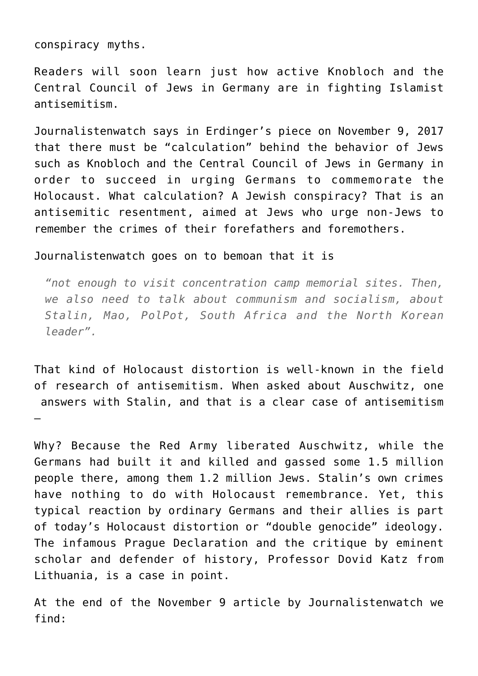conspiracy myths.

Readers will soon learn just how active Knobloch and the Central Council of Jews in Germany are in fighting Islamist antisemitism.

Journalistenwatch says in Erdinger's piece on November 9, 2017 that there must be "calculation" behind the behavior of Jews such as Knobloch and the Central Council of Jews in Germany in order to succeed in urging Germans to commemorate the Holocaust. What calculation? A Jewish conspiracy? That is an antisemitic resentment, aimed at Jews who urge non-Jews to remember the crimes of their forefathers and foremothers.

## Journalistenwatch goes on to bemoan that it is

*"not enough to visit concentration camp memorial sites. Then, we also need to talk about communism and socialism, about Stalin, Mao, PolPot, South Africa and the North Korean leader".*

That kind of Holocaust distortion is well-known in the field of research of antisemitism. When asked about Auschwitz, one answers with Stalin, and that is a clear case of antisemitism –

Why? Because the Red Army liberated Auschwitz, while the Germans had built it and killed and gassed some 1.5 million people there, among them 1.2 million Jews. Stalin's own crimes have nothing to do with Holocaust remembrance. Yet, this typical reaction by ordinary Germans and their allies is part of today's Holocaust distortion or ["double genocide" ideology.](http://jewishcurrents.org/the-double-genocide-theory/) The [infamous Prague Declaration and the critique by eminent](http://defendinghistory.com/prague-declaration/opposition) [scholar and defender of history, Professor Dovid Katz from](http://defendinghistory.com/prague-declaration/opposition) [Lithuania,](http://defendinghistory.com/prague-declaration/opposition) is a case in point.

At the end of the November 9 article by Journalistenwatch we find: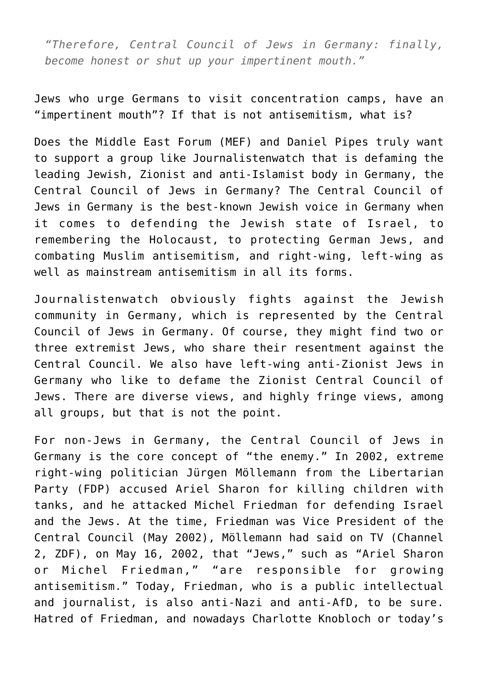*"Therefore, Central Council of Jews in Germany: finally, become honest or shut up your impertinent mouth."*

Jews who urge Germans to visit concentration camps, have an "impertinent mouth"? If that is not antisemitism, what is?

Does the Middle East Forum (MEF) and Daniel Pipes truly want to support a group like Journalistenwatch that is defaming the leading Jewish, Zionist and anti-Islamist body in Germany, the Central Council of Jews in Germany? The Central Council of Jews in Germany is the best-known Jewish voice in Germany when it comes to defending the Jewish state of Israel, to remembering the Holocaust, to protecting German Jews, and combating Muslim antisemitism, and right-wing, left-wing as well as mainstream antisemitism in all its forms.

Journalistenwatch obviously fights against the Jewish community in Germany, which is represented by the Central Council of Jews in Germany. Of course, they might find two or three extremist Jews, who share their resentment against the Central Council. We also have left-wing anti-Zionist Jews in Germany who like to defame the Zionist Central Council of Jews. There are diverse views, and highly fringe views, among all groups, but that is not the point.

For non-Jews in Germany, the Central Council of Jews in Germany is the core concept of "the enemy." In 2002, extreme right-wing politician Jürgen Möllemann from the Libertarian Party (FDP) accused Ariel Sharon for killing children with tanks, and he attacked Michel Friedman for defending Israel and the Jews. At the time, Friedman was Vice President of the Central Council (May 2002), Möllemann had said on TV (Channel 2, ZDF), on May 16, 2002, that "Jews," such as "Ariel Sharon or Michel Friedman," "are responsible for growing antisemitism." Today, Friedman, who is a public intellectual and journalist, is also anti-Nazi and anti-AfD, to be sure. Hatred of Friedman, and nowadays Charlotte Knobloch or today's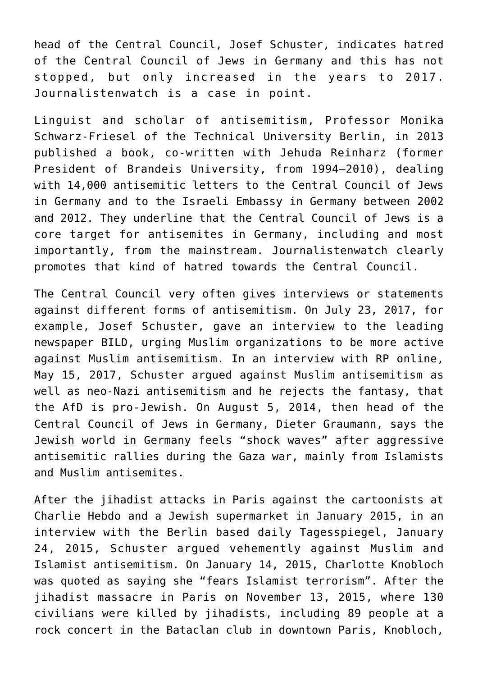head of the Central Council, Josef Schuster, indicates hatred of the Central Council of Jews in Germany and this has not stopped, but only increased in the years to 2017. Journalistenwatch is a case in point.

Linguist and scholar of antisemitism, Professor Monika Schwarz-Friesel of the Technical University Berlin, in 2013 published a book, co-written with Jehuda Reinharz (former President of Brandeis University, from 1994–2010), [dealing](http://www.jpost.com/Opinion/The-Israelization-of-antisemitism-481835) [with 14,000 antisemitic letters to the Central Council of Jews](http://www.jpost.com/Opinion/The-Israelization-of-antisemitism-481835) [in Germany and to the Israeli Embassy in Germany between 2002](http://www.jpost.com/Opinion/The-Israelization-of-antisemitism-481835) [and 2012.](http://www.jpost.com/Opinion/The-Israelization-of-antisemitism-481835) They underline that the Central Council of Jews is a core target for antisemites in Germany, including and most importantly, from the mainstream. Journalistenwatch clearly promotes that kind of hatred towards the Central Council.

The Central Council very often gives interviews or statements against different forms of antisemitism. On July 23, 2017, for example, Josef Schuster, gave an interview to the leading newspaper BILD, [urging Muslim organizations](http://www.zentralratdjuden.de/de/article/6096.alle-islamverb%C3%A4nde-sollten-deutlich-mehr-gegen-antisemitismus-tun.html) to be more active against Muslim antisemitism. In an interview with RP online, May 15, 2017, Schuster argued against Muslim antisemitism as well as neo-Nazi antisemitism and [he rejects the fantasy, that](http://www.zentralratdjuden.de/de/article/6125.niemand-wird-als-antisemit-geboren.html) [the AfD is pro-Jewish.](http://www.zentralratdjuden.de/de/article/6125.niemand-wird-als-antisemit-geboren.html) On August 5, 2014, then head of the Central Council of Jews in Germany, [Dieter Graumann, says the](http://www.zentralratdjuden.de/de/article/4926.schauderhafte-schockwellen-von-antisemitismus.html) [Jewish world in Germany feels "shock waves"](http://www.zentralratdjuden.de/de/article/4926.schauderhafte-schockwellen-von-antisemitismus.html) after aggressive antisemitic rallies during the Gaza war, mainly from Islamists and Muslim antisemites.

After the jihadist attacks in Paris against the cartoonists at Charlie Hebdo and a Jewish supermarket in January 2015, in an interview with the Berlin based daily Tagesspiegel, January 24, 2015, Schuster [argued vehemently against Muslim and](http://www.tagesspiegel.de/politik/zentralrat-der-juden-zu-terror-die-anschlaege-in-paris-waren-ein-weckruf/11274678.html) [Islamist antisemitism.](http://www.tagesspiegel.de/politik/zentralrat-der-juden-zu-terror-die-anschlaege-in-paris-waren-ein-weckruf/11274678.html) On January 14, 2015, Charlotte Knobloch was quoted as saying she "[fears Islamist terrorism](http://www.tagesspiegel.de/politik/terror-attacke-in-frankreich-die-bedrohung-gegen-juden-nimmt-zu/11225518.html)". After the jihadist massacre in Paris on November 13, 2015, where 130 civilians were killed by jihadists, including 89 people at a rock concert in the Bataclan club in downtown Paris, Knobloch,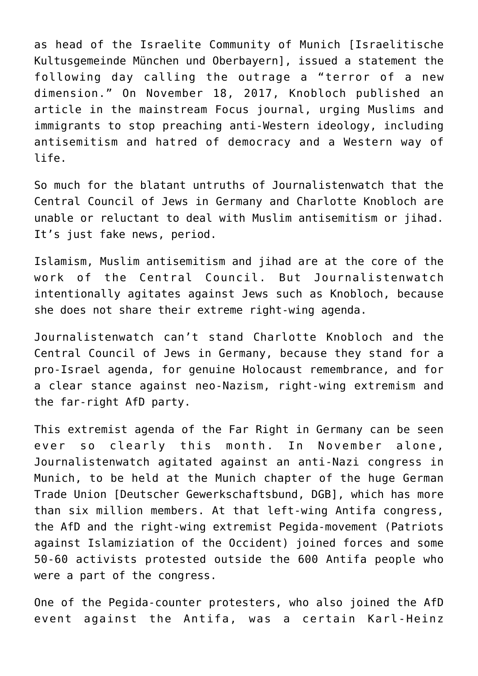as head of the Israelite Community of Munich [Israelitische Kultusgemeinde München und Oberbayern], issued a statement the following day calling the outrage a "[terror of a new](http://www.ikg-m.de/anschlaege-in-paris-knobloch-terror-in-einer-neuen-dimension/) [dimension.](http://www.ikg-m.de/anschlaege-in-paris-knobloch-terror-in-einer-neuen-dimension/)" On November 18, 2017, Knobloch published an article in the mainstream Focus journal, [urging Muslims and](http://www.focus.de/politik/experten/gastbeitrag-von-charlotte-knobloch-deutschland-fehlt-leitkultur-fuer-muslime_id_7857438.html) [immigrants to stop preaching anti-Western ideology,](http://www.focus.de/politik/experten/gastbeitrag-von-charlotte-knobloch-deutschland-fehlt-leitkultur-fuer-muslime_id_7857438.html) including antisemitism and hatred of democracy and a Western way of life.

So much for the blatant untruths of Journalistenwatch that the Central Council of Jews in Germany and Charlotte Knobloch are unable or reluctant to deal with Muslim antisemitism or jihad. It's just fake news, period.

Islamism, Muslim antisemitism and jihad are at the core of the work of the Central Council. But Journalistenwatch intentionally agitates against Jews such as Knobloch, because she does not share their extreme right-wing agenda.

Journalistenwatch can't stand Charlotte Knobloch and the Central Council of Jews in Germany, because they stand for a pro-Israel agenda, for genuine Holocaust remembrance, and for a clear stance against neo-Nazism, right-wing extremism and the far-right AfD party.

This extremist agenda of the Far Right in Germany can be seen ever so clearly this month. In November alone, Journalistenwatch agitated against an anti-Nazi congress in Munich, to be held at the Munich chapter of the huge German Trade Union [Deutscher Gewerkschaftsbund, DGB], which has more than six million members. At that left-wing Antifa congress, the AfD and the right-wing extremist Pegida-movement (Patriots against Islamiziation of the Occident) joined forces and some 50-60 activists protested outside the 600 Antifa people who were a part of the congress.

One of the Pegida-counter protesters, who also joined the AfD event against the Antifa, was a certain [Karl-Heinz](https://www.br.de/radio/bayern2/sendungen/zuendfunk/politik-gesellschaft/antifa-kongress-muenchen-100.html)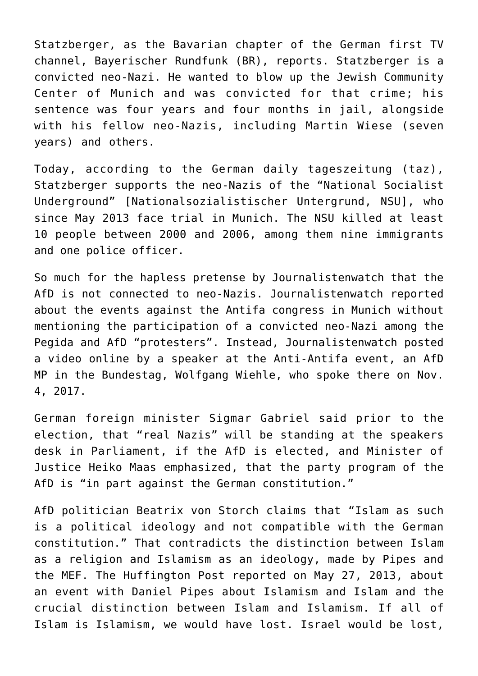[Statzberger](https://www.br.de/radio/bayern2/sendungen/zuendfunk/politik-gesellschaft/antifa-kongress-muenchen-100.html), as the Bavarian chapter of the German first TV channel, Bayerischer Rundfunk (BR), reports. Statzberger is a convicted neo-Nazi. He wanted to blow up the Jewish Community Center of Munich and was [convicted for that crime; his](https://www.stern.de/panorama/stern-crime/urteil-sieben-jahre-haft-fuer-neonazi-wiese-3555266.html) [sentence was four years and four months in jail](https://www.stern.de/panorama/stern-crime/urteil-sieben-jahre-haft-fuer-neonazi-wiese-3555266.html), alongside with his fellow neo-Nazis, including Martin Wiese (seven years) and others.

Today, according to the German daily tageszeitung (taz), [Statzberger supports the neo-Nazis of the "National Socialist](http://www.taz.de/!5460186/) [Underground" \[Nationalsozialistischer Untergrund, NSU\]](http://www.taz.de/!5460186/), who since May 2013 face trial in Munich. The NSU killed at least 10 people between 2000 and 2006, among them nine immigrants and one police officer.

So much for the hapless pretense by Journalistenwatch that the AfD is not connected to neo-Nazis. Journalistenwatch reported about the events against the Antifa congress in Munich [without](http://www.journalistenwatch.com/2017/11/06/vom-hass-zerfressen-antifa-kongress-bayern/) [mentioning the participation of a convicted neo-Nazi among the](http://www.journalistenwatch.com/2017/11/06/vom-hass-zerfressen-antifa-kongress-bayern/) [Pegida and AfD "protesters".](http://www.journalistenwatch.com/2017/11/06/vom-hass-zerfressen-antifa-kongress-bayern/) Instead, Journalistenwatch posted a video online by a speaker at the Anti-Antifa event, an AfD MP in the Bundestag, [Wolfgang Wiehle, who spoke there on Nov.](https://www.youtube.com/watch?v=2eXp-Zv6BHQ) [4, 2017.](https://www.youtube.com/watch?v=2eXp-Zv6BHQ)

German foreign minister Sigmar Gabriel said prior to the election, that ["real Nazis](http://www.handelsblatt.com/politik/deutschland/bundestagswahl/alle-schlagzeilen/gabriel-attackiert-afd-echte-nazis-am-rednerpult/20315768.html)" will be standing at the speakers desk in Parliament, if the AfD is elected, and Minister of Justice Heiko Maas emphasized, that the party program of the AfD is "in part against the German constitution."

AfD politician [Beatrix von Storch](http://www.sueddeutsche.de/politik/afd-programm-minarette-verbieten-1.2953348) claims that "Islam as such is a political ideology and not compatible with the German constitution." That contradicts the distinction between Islam as a religion and Islamism as an ideology, made by Pipes and the MEF. The Huffington Post reported on May 27, 2013, about [an event with Daniel Pipes about Islamism and Islam](http://www.huffingtonpost.ca/tahir-gora/moderate-islam_b_3314561.html) and the crucial distinction between Islam and Islamism. If all of Islam is Islamism, we would have lost. Israel would be lost,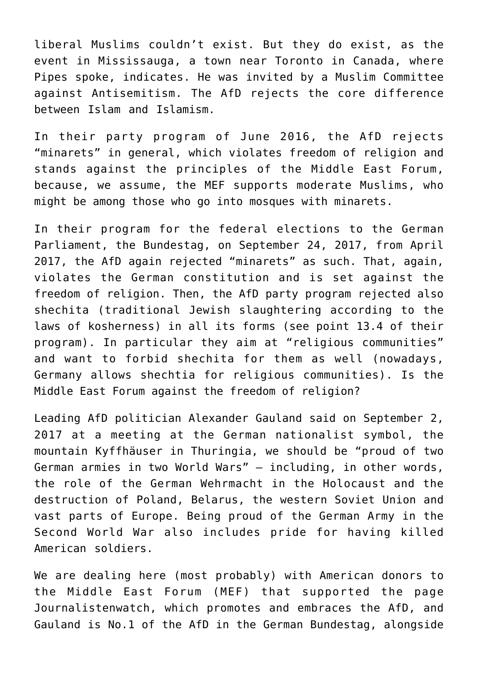liberal Muslims couldn't exist. But they do exist, as the event in Mississauga, a town near Toronto in Canada, where Pipes spoke, indicates. He was invited by a Muslim Committee against Antisemitism. The AfD rejects the core difference between Islam and Islamism.

In their party program of June 2016, the AfD rejects "minarets" in general, which violates freedom of religion and stands against the principles of the Middle East Forum, because, we assume, the MEF supports moderate Muslims, who might be among those who go into mosques with minarets.

In their program for the federal elections to the German Parliament, the Bundestag, on September 24, 2017, from April 2017, the AfD again rejected "minarets" as such. That, again, violates the German constitution and is set against the freedom of religion. Then, the AfD party program rejected also shechita (traditional Jewish slaughtering according to the laws of kosherness) in all its forms (see point 13.4 of their program). In particular they aim at "religious communities" and want to forbid shechita for them as well (nowadays, Germany allows shechtia for religious communities). Is the Middle East Forum against the freedom of religion?

Leading AfD politician Alexander Gauland said on September 2, 2017 at a meeting at the German nationalist symbol, the mountain Kyffhäuser in Thuringia, we should be "[proud of two](http://www.zeit.de/politik/deutschland/2017-09/afd-alexander-gauland-nazi-zeit-neubewertung) [German armies in two World Wars"](http://www.zeit.de/politik/deutschland/2017-09/afd-alexander-gauland-nazi-zeit-neubewertung) — including, in other words, the role of the German Wehrmacht in the Holocaust and the destruction of Poland, Belarus, the western Soviet Union and vast parts of Europe. Being proud of the German Army in the Second World War also includes pride for having killed American soldiers.

We are dealing here (most probably) with American donors to the Middle East Forum (MEF) that supported the page Journalistenwatch, which promotes and embraces the AfD, and Gauland is No.1 of the AfD in the German Bundestag, alongside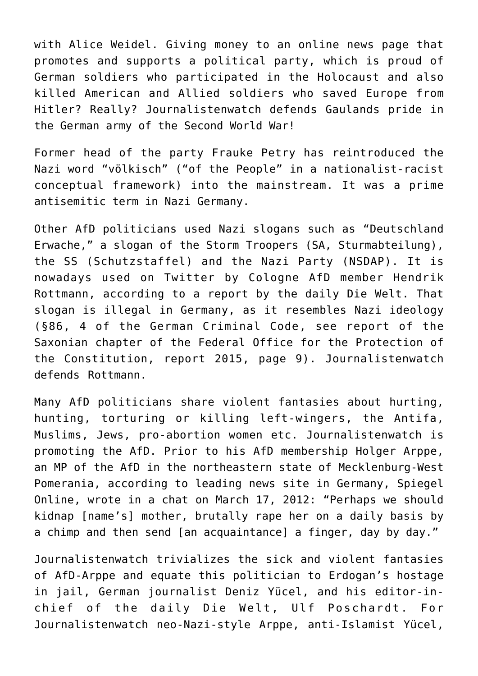with Alice Weidel. Giving money to an online news page that promotes and supports a political party, which is proud of German soldiers who participated in the Holocaust and also killed American and Allied soldiers who saved Europe from Hitler? Really? [Journalistenwatch defends Gaulands pride in](http://www.journalistenwatch.com/2017/09/15/abt-provokation-herr-gauland-wehrmacht-denn-sowas/) [the German army of the Second World War!](http://www.journalistenwatch.com/2017/09/15/abt-provokation-herr-gauland-wehrmacht-denn-sowas/)

Former head of the party Frauke Petry has reintroduced the Nazi word "völkisch" ("of the People" in a nationalist-racist conceptual framework) into the mainstream. It was a prime antisemitic term in Nazi Germany.

Other AfD politicians used Nazi slogans such as "[Deutschland](https://www.welt.de/politik/deutschland/article164386185/Anzeige-gegen-AfD-Politiker-wegen-verbotener-NS-Parole.html) [Erwache,](https://www.welt.de/politik/deutschland/article164386185/Anzeige-gegen-AfD-Politiker-wegen-verbotener-NS-Parole.html)" a slogan of the Storm Troopers (SA, Sturmabteilung), the SS (Schutzstaffel) and the Nazi Party (NSDAP). It is nowadays used on Twitter by Cologne AfD member Hendrik Rottmann, according to a report by the daily Die Welt. That slogan is illegal in Germany, as it resembles Nazi ideology [\(§86, 4 of the German Criminal Code,](https://www.gesetze-im-internet.de/stgb/__86.html) see report of the [Saxonian chapter of the Federal Office for the Protection of](http://www.verfassungsschutz.sachsen.de/download/Kennzeichen_rex_2015.pdf) [the Constitution, report 2015](http://www.verfassungsschutz.sachsen.de/download/Kennzeichen_rex_2015.pdf), page 9). [Journalistenwatch](http://www.journalistenwatch.com/2017/05/09/bizarr-linke-verteidigen-urheberrechte-der-nazis/) [defends Rottmann.](http://www.journalistenwatch.com/2017/05/09/bizarr-linke-verteidigen-urheberrechte-der-nazis/)

Many AfD politicians share violent fantasies about hurting, hunting, torturing or killing left-wingers, the Antifa, Muslims, Jews, pro-abortion women etc. Journalistenwatch is promoting the AfD. Prior to his AfD membership [Holger Arppe,](http://www.spiegel.de/politik/deutschland/afd-holger-arppe-tritt-wegen-angeblichen-gewaltfantasien-zurueck-a-1165584.html) an MP of the AfD in the northeastern state of Mecklenburg-West Pomerania, according to leading news site in Germany, Spiegel Online, wrote in a chat on March 17, 2012: "Perhaps we should kidnap [name's] mother, brutally rape her on a daily basis by a chimp and then send [an acquaintance] a finger, day by day."

Journalistenwatch [trivializes the sick and violent fantasies](http://www.journalistenwatch.com/2017/09/01/die-unertraegliche-doppel-moral-des-ulf-poschardt/) [of AfD-Arppe and equate this politician to Erdogan's hostage](http://www.journalistenwatch.com/2017/09/01/die-unertraegliche-doppel-moral-des-ulf-poschardt/) [in jail](http://www.journalistenwatch.com/2017/09/01/die-unertraegliche-doppel-moral-des-ulf-poschardt/), German journalist Deniz Yücel, and his editor-inchief of the daily Die Welt, Ulf Poschardt. For Journalistenwatch neo-Nazi-style Arppe, anti-Islamist Yücel,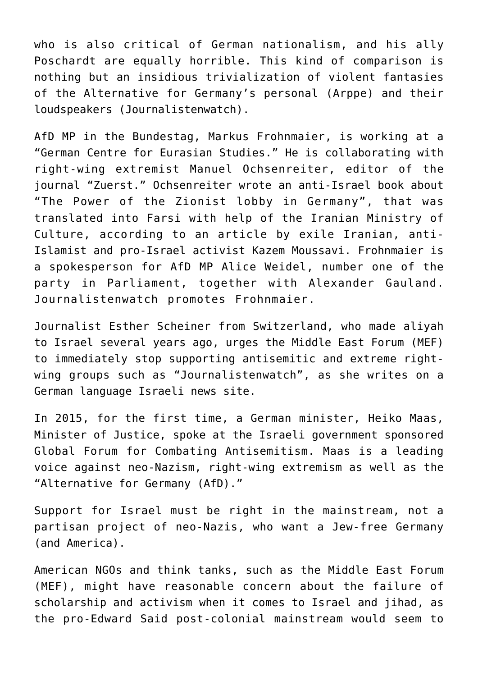who is also critical of German nationalism, and his ally Poschardt are equally horrible. This kind of comparison is nothing but an insidious trivialization of violent fantasies of the Alternative for Germany's personal (Arppe) and their loudspeakers (Journalistenwatch).

AfD MP in the Bundestag, Markus Frohnmaier, is working at a "German Centre for Eurasian Studies." He is collaborating with right-wing extremist Manuel Ochsenreiter, editor of the journal "Zuerst." Ochsenreiter wrote an anti-Israel book about "[The Power of the Zionist lobby in Germany", that was](http://iraniansforum.com/eu/eine-gefahr-fur-die-demokratie-in-deutschland-die-afd-iran-russland-connection/) [translated into Farsi with help of the Iranian Ministry of](http://iraniansforum.com/eu/eine-gefahr-fur-die-demokratie-in-deutschland-die-afd-iran-russland-connection/) [Culture](http://iraniansforum.com/eu/eine-gefahr-fur-die-demokratie-in-deutschland-die-afd-iran-russland-connection/), according to an article by exile Iranian, anti-Islamist and pro-Israel activist Kazem Moussavi. Frohnmaier is a spokesperson for AfD MP Alice Weidel, number one of the party in Parliament, together with Alexander Gauland. [Journalistenwatch promotes Frohnmaier](http://www.journalistenwatch.com/2017/11/07/frohnmaier-berlin-darf-kein-zweites-sizilien-werden/).

Journalist Esther Scheiner from Switzerland, who made aliyah to Israel several years ago, urges the Middle East Forum (MEF) to immediately stop supporting antisemitic and extreme rightwing groups such as "Journalistenwatch", as she writes on a [German language Israeli news site.](http://www.israel-nachrichten.org/archive/33196)

In 2015, for the first time, a German minister, Heiko Maas, Minister of Justice, spoke at the Israeli government sponsored Global Forum for Combating Antisemitism. Maas is a leading voice against neo-Nazism, right-wing extremism as well as the "Alternative for Germany (AfD)."

Support for Israel must be right in the mainstream, not a partisan project of neo-Nazis, who want a Jew-free Germany (and America).

American NGOs and think tanks, such as the Middle East Forum (MEF), might have reasonable concern about the failure of scholarship and activism when it comes to Israel and jihad, as the pro-Edward Said post-colonial mainstream would seem to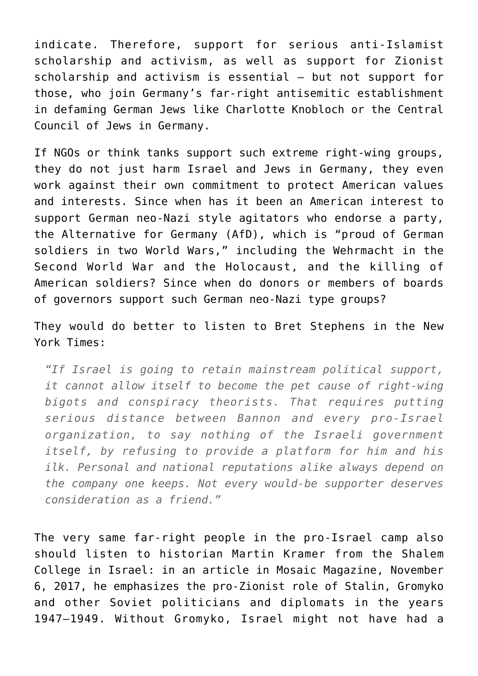indicate. Therefore, support for serious anti-Islamist scholarship and activism, as well as support for Zionist scholarship and activism is essential – but not support for those, who join Germany's far-right antisemitic establishment in defaming German Jews like Charlotte Knobloch or the Central Council of Jews in Germany.

If NGOs or think tanks support such extreme right-wing groups, they do not just harm Israel and Jews in Germany, they even work against their own commitment to protect American values and interests. Since when has it been an American interest to support German neo-Nazi style agitators who endorse a party, the Alternative for Germany (AfD), which is "proud of German soldiers in two World Wars," including the Wehrmacht in the Second World War and the Holocaust, and the killing of American soldiers? Since when do donors or members of boards of governors support such German neo-Nazi type groups?

They would do better to listen to Bret Stephens in the New York Times:

*"If Israel is going to retain mainstream political support, it cannot allow itself to become the pet cause of right-wing bigots and conspiracy theorists. That requires putting serious distance between Bannon and every pro-Israel organization, to say nothing of the Israeli government itself, by refusing to provide a platform for him and his ilk. Personal and national reputations alike always depend on the company one keeps. Not every would-be supporter deserves consideration as a friend."*

The very same far-right people in the pro-Israel camp also should listen to historian Martin Kramer from the Shalem College in Israel: in an article in Mosaic Magazine, November 6, 2017, he emphasizes the [pro-Zionist role of Stalin, Gromyko](https://mosaicmagazine.com/essay/2017/11/who-saved-israel-in-1947/) [and other Soviet politicians and diplomats in the years](https://mosaicmagazine.com/essay/2017/11/who-saved-israel-in-1947/) [1947–1949](https://mosaicmagazine.com/essay/2017/11/who-saved-israel-in-1947/). Without Gromyko, Israel might not have had a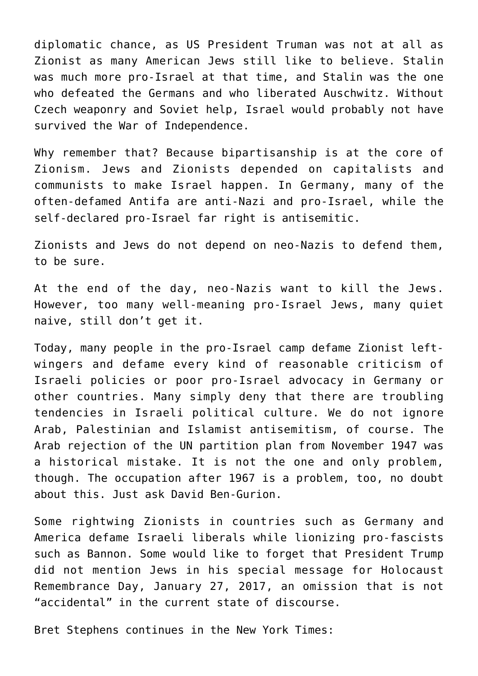diplomatic chance, as US President Truman was not at all as Zionist as many American Jews still like to believe. Stalin was much more pro-Israel at that time, and Stalin was the one who defeated the Germans and who liberated Auschwitz. Without Czech weaponry and Soviet help, Israel would probably not have survived the War of Independence.

Why remember that? Because bipartisanship is at the core of Zionism. Jews and Zionists depended on capitalists and communists to make Israel happen. In Germany, many of the often-defamed Antifa are anti-Nazi and pro-Israel, while the self-declared pro-Israel far right is antisemitic.

Zionists and Jews do not depend on neo-Nazis to defend them, to be sure.

At the end of the day, neo-Nazis want to kill the Jews. However, too many well-meaning pro-Israel Jews, many quiet naive, still don't get it.

Today, many people in the pro-Israel camp defame Zionist leftwingers and defame every kind of reasonable criticism of Israeli policies or poor pro-Israel advocacy in Germany or other countries. Many simply deny that there are troubling tendencies in Israeli political culture. We do not ignore Arab, Palestinian and Islamist antisemitism, of course. The Arab rejection of the UN partition plan from November 1947 was a historical mistake. It is not the one and only problem, though. The occupation after 1967 is a problem, too, no doubt about this. Just ask David Ben-Gurion.

Some rightwing Zionists in countries such as Germany and America defame Israeli liberals while lionizing pro-fascists such as Bannon. Some would like to forget that President Trump did not mention Jews in his special message for Holocaust Remembrance Day, January 27, 2017, an omission that is not "accidental" in the current state of discourse.

Bret Stephens continues in the New York Times: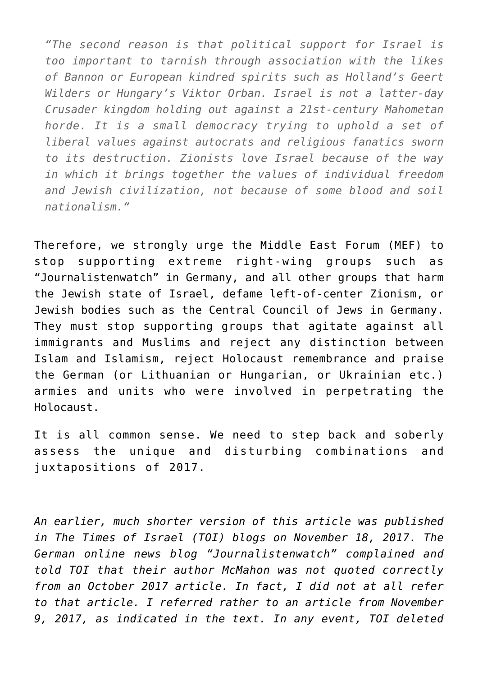*"The second reason is that political support for Israel is too important to tarnish through association with the likes of Bannon or European kindred spirits such as Holland's Geert Wilders or Hungary's Viktor Orban. Israel is not a latter-day Crusader kingdom holding out against a 21st-century Mahometan horde. It is a small democracy trying to uphold a set of liberal values against autocrats and religious fanatics sworn to its destruction. Zionists love Israel because of the way in which it brings together the values of individual freedom and Jewish civilization, not because of some blood and soil nationalism."*

Therefore, we strongly urge the Middle East Forum (MEF) to stop supporting extreme right-wing groups such as "Journalistenwatch" in Germany, and all other groups that harm the Jewish state of Israel, defame left-of-center Zionism, or Jewish bodies such as the Central Council of Jews in Germany. They must stop supporting groups that agitate against all immigrants and Muslims and reject any distinction between Islam and Islamism, reject Holocaust remembrance and praise the German (or Lithuanian or Hungarian, or Ukrainian etc.) armies and units who were involved in perpetrating the Holocaust.

It is all common sense. We need to step back and soberly assess the unique and disturbing combinations and juxtapositions of 2017.

*An earlier, [much shorter version of this article was published](http://webcache.googleusercontent.com/search?q=cache:3xoLY5uoke8J:blogs.timesofisrael.com/jews-should-stop-supporting-the-alt-right-and-the-enemies-of-the-jewish-people/+&cd=1&hl=de&ct=clnk&gl=de&client=firefox-b-ab) [in The Times of Israel \(TOI\) blogs on November 18, 2017](http://webcache.googleusercontent.com/search?q=cache:3xoLY5uoke8J:blogs.timesofisrael.com/jews-should-stop-supporting-the-alt-right-and-the-enemies-of-the-jewish-people/+&cd=1&hl=de&ct=clnk&gl=de&client=firefox-b-ab). The German online news blog "Journalistenwatch" complained and told TOI that their author McMahon was not quoted correctly from an October 2017 article. In fact, I did not at all refer to that article. I referred rather to an article from November 9, 2017, as indicated in the text. In any event, TOI deleted*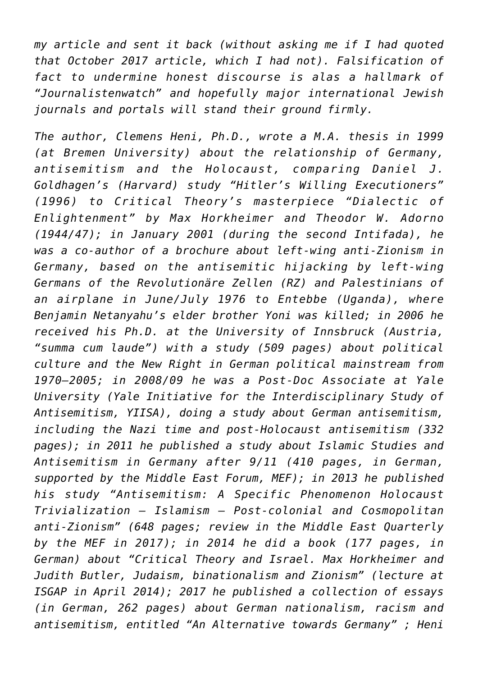*my article and sent it back (without asking me if I had quoted that October 2017 article, which I had not). Falsification of fact to undermine honest discourse is alas a hallmark of "Journalistenwatch" and hopefully major international Jewish journals and portals will stand their ground firmly.*

*The author, Clemens Heni, Ph.D., wrote a M.A. thesis in 1999 (at Bremen University) about the relationship of Germany, antisemitism and the Holocaust, comparing Daniel J. Goldhagen's (Harvard) study "Hitler's Willing Executioners" (1996) to Critical Theory's masterpiece "Dialectic of Enlightenment" by Max Horkheimer and Theodor W. Adorno (1944/47); in January 2001 (during the second Intifada), he was a co-author of a brochure about [left-wing anti-Zionism in](http://www.bicsa.org/allgemein/dokumentation-we-dont-like-your-love-song-kritik-des-antizionismus-der-revolutionaeren-zellen-und-anderer-linker-heute/) [Germany, based on the antisemitic hijacking by left-wing](http://www.bicsa.org/allgemein/dokumentation-we-dont-like-your-love-song-kritik-des-antizionismus-der-revolutionaeren-zellen-und-anderer-linker-heute/) [Germans of the Revolutionäre Zellen \(RZ\) and Palestinians of](http://www.bicsa.org/allgemein/dokumentation-we-dont-like-your-love-song-kritik-des-antizionismus-der-revolutionaeren-zellen-und-anderer-linker-heute/) [an airplane in June/July 1976 to Entebbe](http://www.bicsa.org/allgemein/dokumentation-we-dont-like-your-love-song-kritik-des-antizionismus-der-revolutionaeren-zellen-und-anderer-linker-heute/) (Uganda), where Benjamin Netanyahu's elder brother Yoni was killed; in 2006 he received his Ph.D. at the University of Innsbruck (Austria, "summa cum laude") with a study (509 pages) about [political](https://www.clemensheni.net/dissertation/) [culture and the New Right in German political mainstream from](https://www.clemensheni.net/dissertation/) [1970–2005](https://www.clemensheni.net/dissertation/); in 2008/09 he was a Post-Doc Associate at Yale University (Yale Initiative for the Interdisciplinary Study of Antisemitism, YIISA), doing a study about [German antisemitism,](http://clemensheni.net/wp-content/uploads/Heni-2009-Antisemitismus-und-Deutschland-Cover-Einl-Index.pdf) [including the Nazi time and post-Holocaust antisemitism](http://clemensheni.net/wp-content/uploads/Heni-2009-Antisemitismus-und-Deutschland-Cover-Einl-Index.pdf) (332 pages); in 2011 he published a study about [Islamic Studies and](http://www.editioncritic.de/allgemein/clemens-heni-schadenfreude-islamforschung-und-antisemitismus/) [Antisemitism in Germany after 9/11](http://www.editioncritic.de/allgemein/clemens-heni-schadenfreude-islamforschung-und-antisemitismus/) (410 pages, in German, supported by the Middle East Forum, MEF); in 2013 he published his study "Antisemitism: A Specific Phenomenon Holocaust Trivialization – Islamism – Post-colonial and Cosmopolitan anti-Zionism" (648 pages; [review in the Middle East Quarterly](http://www.meforum.org/6563/anti-semitism-the-longest-hatred) [by the MEF in 2017\)](http://www.meforum.org/6563/anti-semitism-the-longest-hatred); in 2014 he did a book (177 pages, in German) about "[Critical Theory and Israel](http://bak-shalom.de/index.php/2015/02/03/vortrag-mit-clemens-heni-am-1702-in-berlin-kritische-theorie-israel/). Max Horkheimer and Judith Butler, Judaism, binationalism and Zionism" (lecture at [ISGAP in April 2014\)](https://www.youtube.com/watch?v=Rt4iDHOMizo); 2017 he published a collection of essays (in German, 262 pages) about [German nationalism, racism and](https://www.amazon.com/Eine-Alternative-Deutschland-International-Rechtsextremismus/dp/3946193188/ref=sr_1_3?ie=UTF8&qid=1511274982&sr=8-3&keywords=Antisemitism+Clemens+Heni&dpID=31OhVvljz9L&preST=_SY291_BO1,204,203,200_QL40_&dpSrc=srch) [antisemitism,](https://www.amazon.com/Eine-Alternative-Deutschland-International-Rechtsextremismus/dp/3946193188/ref=sr_1_3?ie=UTF8&qid=1511274982&sr=8-3&keywords=Antisemitism+Clemens+Heni&dpID=31OhVvljz9L&preST=_SY291_BO1,204,203,200_QL40_&dpSrc=srch) entitled "An Alternative towards Germany" ; Heni*